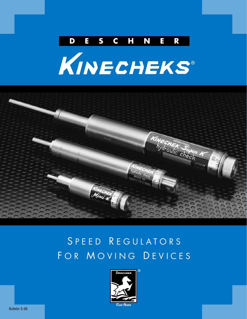





## S PEED REGULATORS FOR MOVING DEVICES

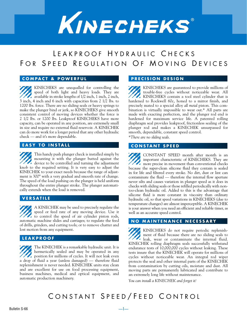

## LEAKPROOF HYDRAULIC CHECKS FOR SPEED REGULATION OF MOVING DEVICES

#### **COMPACT & POWERFUL**

KINECHEKS are unequalled for controlling the speed of both light and heavy loads. They are **available in stroke lengths of 1/2 inch, 1 inch, 2 inch,** 3 inch, 4 inch and 6 inch with capacities from 2 1/2 lbs. to 1200 lbs. force. There are no sliding seals or heavy springs to make the plunger bind or jerk, so KINECHEKS give smooth consistent control of moving devices whether the force is 2 1/2 lbs. or 1200 lbs. Leakproof KINECHEKS have more capacity, can be operated in any position, are extremely small in size and require no external fluid reservoir. A KINECHEK can do more work for a longer period that any other hydraulic check — and it's more dependable.

#### **EASY TO INSTALL**

This handy push plunger check is installed simply by mounting it with the plunger butted against the device to be controlled and turning the adjustment knob to the required setting. It is very easy to adjust the KINECHEK to your exact needs because the range of adjustment is 300° with a very gradual and smooth rate of change. The speed of the load pushing on the plunger is held uniform throughout the entire plunger stroke. The plunger automatically extends when the load is removed.

#### **VERSATILE**

A KINECHEK may be used to precisely regulate the speed or feed rate of any moving device. Use it to control the speed of air cylinder piston rods, automatic machine slides and carriages; to regulate the feed of drills, grinders, and cutting tools; or to remove chatter and lost motion from any equipment.

#### **LEAKPROOF**

The KINECHEK is a remarkable hydraulic unit. It is hermetically sealed and may be operated in any position for millions of cycles. It will not leak even a drop of fluid a year (unless damaged) — therefore fluid replenishment is never needed. KINECHEK units stay clean and are excellent for use on food processing equipment, business machines, medical and optical equipment, and automatic production machinery.

#### **PRECISION DESIGN**

KINECHEKS are guaranteed to provide millions of trouble-free cycles without noticeable wear. All KINECHEKS contain a tool steel cylinder that is hardened to Rockwell 60c, honed to a mirror finish, and precisely mated to a special alloy *all metal* piston. This combination is virtually impossible to wear out.\* All parts are made with exacting perfection, and the plunger rod end is hardened for maximum service life. A patented rolling diaphragm seal provides leakproof, frictionless sealing of the plunger rod and makes a KINECHEK unsurpassed for smooth, dependable, constant speed control.

*\*There are no sliding seals.*

#### **CONSTANT SPEED**

CONSTANT SPEED month after month is an important characteristic of KINECHEKS. They are more precise in movement than conventional checks because the super-clean silicone fluid they contain is sealed in for life and filtered every stroke. No dirt, dust or lint can contaminate the fluid — therefore the internal flow aperture never silts and causes variation in plunger speed as it does in checks with sliding seals or those refilled periodically with nontoo-clean hydraulic oil. Added to this is the advantage that silicone fluid is more constant in viscosity than ordinary hydraulic oil, so that speed variations in KINECHEKS (due to temperature changes) are almost imperceptible. A KINECHEK is your answer when you need an efficient and reliable timer, as well as an accurate speed control.

#### **NO MAINTENANCE NECESSARY**

KINECHEKS do not require periodic replenishment of fluid because there are no sliding seals to leak, wear or contaminate the internal fluid. KINECHEK rolling diaphragm seals successfully withstand endurance tests of 10,000,000 cycles without leaking. These tests insure that the KINECHEK will operate for millions of cycles without noticeable wear. An integral rod wiper protects the seal and other internal parts of the KINECHEK from contamination by cutting oils, moisture and dust. All moving parts are permanently lubricated and contribute to an extremely long life without maintenance.

*You can install a KINECHEK and forget it!*

## CONSTANT SPEED/FEED CONTROL

—1—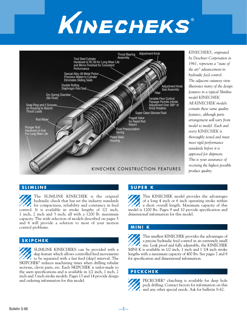



*KINECHEKS, originated by Deschner Corporation in 1961, represent a "state of the art" advancement in hydraulic feed control. The adjacent cutaway view illustrates many of the design features in a typical Slimline model KINECHEK. All KINECHEK models contain these same quality features, although parts arrangement will vary from model to model. Each and every KINECHEK is thoroughly tested and must meet rigid performance standards before it is approved for shipment. This is your assurance of receiving the highest possible product quality.*

#### **SLIMLINE**

The SLIMLINE KINECHEK is the original hydraulic check that has set the industry standards for compactness, reliability and constancy in feed control. It is available in stroke lengths of 1/2 inch, 1 inch, 2 inch and 3 inch; all with a 1200 lb. maximum capacity. The wide selection of models described on pages 5 and 6 will provide a solution to most of your motion control problems.

#### **SKIPCHEK**

SLIMLINE KINECHEKS can be provided with a skip feature which allows controlled feed movements to be separated with a fast feed (skip) interval. The SKIPCHEK® reduces machining times when drilling tubular sections, clevis parts, etc. Each SKIPCHEK is tailor-made to the users specifications and is available in 1/2 inch, 1 inch, 2 inch and 3 inch stroke models. Pages 13 and 14 provide design and ordering information for this model.

#### **SUPER K**

This KINECHEK model provides the advantages of a long 4 inch or 6 inch operating stroke within **22** a short overall length. Maximum capacity of this model is 1200 lbs. Pages 9 and 10 provide specification and dimensional information for this model.

#### **MINI K**

This smallest KINECHEK provides the advantages of a precise hydraulic feed control in an extremely small size. Leak proof and fully adjustable, the KINECHEK MINI K is available in 1/2 inch, 1 inch and 1 1/4 inch stroke lengths with a maximum capacity of 400 lbs. See pages 7 and 8 for specification and dimensional information.

#### **PECKCHEK**



—2—

PECKCHEK® clutching is available for deep hole peck drilling. Contact factory for information on this and any other special needs. Ask for bulletin S-62.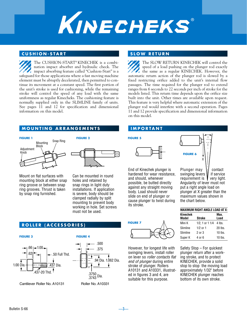

#### **CUSHION-START SLOW RETURN**

The CUSHION-START® KINECHEK is a combination impact absorber and hydraulic check. The impact absorbing feature called "Cushion-Start" is a safeguard for those applications where a fast moving machine element must be abruptly decelerated, then permitted to continue its movement at a constant speed. The first portion of the unit's stroke is used for cushioning, while the remaining stroke will control the speed of any load with the same uniformness as regular Kinecheks. The cushioning feature is normally supplied only in the SLIMLINE family of units. See pages 11 and 12 for specification and dimensional information on this model.

#### **MOUNTING ARRANGEMENTS IMPORTANT**





Mount on flat surfaces with mounting block at either snap ring groove or between snap ring grooves. Thrust is taken by snap ring furnished.

Can be mounted in round holes and retained by snap rings in light duty installations. If application is severe, body should be clamped radially by split mounting to prevent body working in hole. Set screws must not be used.

#### **ROLLER (ACCESSORIES)**

.62

1.00 Dia.





Cantilever Roller No. A10131 Roller No. A10331

.437-20 Thd.

 $-1.00$ -

—3—

The SLOW RETURN KINECHEK will control the speed of a load pushing on the plunger rod exactly the same as a regular KINECHEK. However, the automatic return action of the plunger rod is slowed by a fixed restricting orifice added to the unit's internal flow passages. The time required for the plunger rod to extend ranges from 6 seconds to 22 seconds per inch of stroke for the models listed. This return time depends upon the orifice size built into the unit. Other times are available upon request. This feature is very helpful where automatic extension of the plunger rod would interfere with a second operation. Pages 11 and 12 provide specification and dimensional information on this model.

#### **FIGURE 5**

**FIGURE 7**



End of Kinechek plunger is hardened for wear resistance, and should, whenever possible, be butted directly against any straight moving body. Load should never slide on end of plunger or cause plunger to twist during its stroke.

However, for longest life with swinging levers, install roller on lever so *roller contacts flat end of plunger* during entire stroke of plunger. Rollers A10131 and A10331, illustrated in figures 3 and 4, are suitable for this purpose.



swinging levers || if service requirement is very light. Angularity of lever must not put a right angle load on plunger at X greater than the maximum values shown in the chart below.

| <b>MAXIMUM RIGHT ANGLE LOAD AT X:</b> |                      |              |  |  |  |  |  |  |
|---------------------------------------|----------------------|--------------|--|--|--|--|--|--|
| Kinechek<br>Model                     | Stroke               | Max.<br>Load |  |  |  |  |  |  |
| Mini K                                | $1/2$ , 1 or 1 $1/4$ | $4$ lbs.     |  |  |  |  |  |  |
| Slimline                              | $1/2$ or 1           | 20 lbs.      |  |  |  |  |  |  |
| Slimline                              | 2 or 3               | $10$ lbs.    |  |  |  |  |  |  |
| Super K                               | 4 or 6               | $10$ lbs.    |  |  |  |  |  |  |

Safety Stop – For quickest plunger return after a working stroke, and to protect KINECHEK, provide a solid stop to stop the moving load approximately 1/32" before KINECHEK plunger reaches bottom of its own stroke.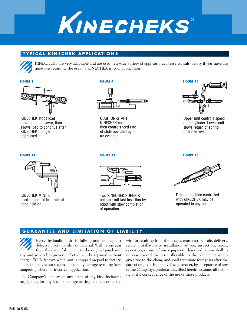

#### **TYPICAL KINECHEK APPLICATIONS**



KINECHEKS are very adaptable and are used in a wide variety of applications. Please consult factory if you have any questions regarding the use of a KINECHEK in your application.

#### **FIGURE 8**



KINECHEK stops load moving on conveyor, then allows load to continue after KINECHEK plunger is depressed.

#### **FIGURE 9**



CUSHION-START KINECHEK cushions, then controls feed rate of slide operated by an air cylinder.



Upper unit controls speed of air cylinder. Lower unit slows return of spring operated lever.

#### **FIGURE 11**



KINECHEK MINI K used to control feed rate of hand held drill.

#### **FIGURE 12**



Two KINECHEK SUPER K units permit fast insertion by robot with slow completion of operation.

—4—

**FIGURE 13**



Drilling machine controlled with KINECHEK may be operated in any position.

#### **GUARANTEE AND LIMITATION OF LIABILITY**

Every hydraulic unit is fully guaranteed against defects in workmanship or material. Within one year from the date of shipment to the original purchaser, any unit which has proven defective will be repaired without charge, F.O.B. factory, when unit is shipped prepaid to factory. The Company is not responsible for any damage resulting from tampering, abuse, or incorrect application.

The Company's liability on any claim of any kind including negligence, for any loss or damage arising out of, connected

with or resulting from the design, manufacture, sale, delivery, resale, installation or installation advice, inspection, repair, operation, or use, of any equipment described herein shall in no case exceed the price allocable to the equipment which gives rise to the claim, and shall terminate four years after the date of original shipment. The purchaser, by acceptance of any of the Company's products described herein, assumes all liability of the consequence of the use of those products.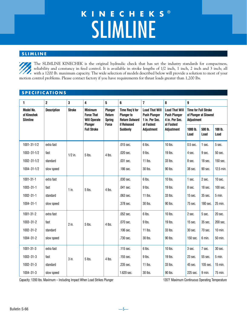## **KINECHEKS** SLIMLINE ®

#### **SLIMLINE**

The SLIMLINE KINECHEK is the original hydraulic check that has set the industry standards for compactness, reliability and constancy in feed control. It is available in stroke lengths of 1/2 inch, 1 inch, 2 inch and 3 inch; all with a 1200 lb. maximum capacity. The wide selection of models described below will provide a solution to most of your motion control problems. Please contact factory if you have requirements for thrust loads greater than 1,200 lbs.

#### **SPECIFICATIONS**

| 1                                                                        | $\overline{2}$ | 3             | 4                                                                     | $5\phantom{.0}$                                    | 6                                                                           | $\overline{7}$                                                               | 8                                                                            | 9                                                                  |                 |                 |  |
|--------------------------------------------------------------------------|----------------|---------------|-----------------------------------------------------------------------|----------------------------------------------------|-----------------------------------------------------------------------------|------------------------------------------------------------------------------|------------------------------------------------------------------------------|--------------------------------------------------------------------|-----------------|-----------------|--|
| <b>Model No.</b><br><b>Description</b><br>of Kinechek<br><b>Slimline</b> |                | <b>Stroke</b> | <b>Minimum</b><br><b>Force That</b><br><b>Will Operate</b><br>Plunger | Plunger<br>Return<br><b>Spring</b><br><b>Force</b> | Time Req'd for<br><b>Plunger to</b><br><b>Return Outward</b><br>if Released | <b>Load That Will</b><br><b>Push Plunger</b><br>1 in. Per Sec.<br>at Fastest | <b>Load That Will</b><br><b>Push Plunger</b><br>4 in. Per Sec.<br>at Fastest | <b>Time for Full Stroke</b><br>of Plunger at Slowest<br>Adjustment |                 |                 |  |
|                                                                          |                |               | <b>Full Stroke</b>                                                    |                                                    | Suddenly                                                                    | Adjustment                                                                   | Adjustment                                                                   | 1000 lb.<br>Load                                                   | 500 lb.<br>Load | 100 lb.<br>Load |  |
| $1001 - 31 - 1/2$                                                        | extra fast     |               |                                                                       |                                                    | .015 sec.                                                                   | 6 lbs.                                                                       | 10 lbs.                                                                      | $0.5$ sec.                                                         | 1 sec.          | 5 sec.          |  |
| $1003 - 31 - 1/2$                                                        | fast           | $1/2$ in.     | 5 lbs.                                                                | 4 lbs.                                             | .020 sec.                                                                   | 9 lbs.                                                                       | 19 lbs.                                                                      | 4 sec.                                                             | 9 sec.          | 50 sec.         |  |
| $1002 - 31 - 1/2$                                                        | standard       |               |                                                                       |                                                    | .031 sec.                                                                   | 11 lbs.                                                                      | 33 lbs.                                                                      | 8 sec.                                                             | 18 sec.         | 150 sec.        |  |
| $1004 - 31 - 1/2$                                                        | slow speed     |               |                                                                       |                                                    | .186 sec.                                                                   | 30 lbs.                                                                      | 90 lbs.                                                                      | 38 sec.                                                            | 90 sec.         | 12.5 min.       |  |
| $1001 - 31 - 1$                                                          | extra fast     |               |                                                                       |                                                    | .030 sec.                                                                   | 6 lbs.                                                                       | 10 lbs.                                                                      | 1 sec.                                                             | 2 sec.          | 10 sec.         |  |
| $1003 - 31 - 1$                                                          | fast           | $1$ in.       | 5 lbs.                                                                | 4 lbs.                                             | .041 sec.                                                                   | 9 lbs.                                                                       | 19 lbs.                                                                      | 8 sec.                                                             | 18 sec.         | 100 sec.        |  |
| $1002 - 31 - 1$                                                          | standard       |               |                                                                       |                                                    | .063 sec.                                                                   | 11 lbs.                                                                      | 33 lbs.                                                                      | 15 sec.                                                            | 35 sec.         | $5$ min.        |  |
| $1004 - 31 - 1$                                                          | slow speed     |               |                                                                       |                                                    | .378 sec.                                                                   | 30 lbs.                                                                      | 90 lbs.                                                                      | 75 sec.                                                            | 180 sec.        | 25 min.         |  |
| $1001 - 31 - 2$                                                          | extra fast     |               |                                                                       |                                                    | .052 sec.                                                                   | 6 lbs.                                                                       | 10 lbs.                                                                      | 2 sec.                                                             | 5 sec.          | 20 sec.         |  |
| $1003 - 31 - 2$                                                          | fast           | $2$ in.       | 5 lbs.                                                                | 4 lbs.                                             | .070 sec.                                                                   | 9 lbs.                                                                       | 19 lbs.                                                                      | 15 sec.                                                            | 35 sec.         | 200 sec.        |  |
| 1002-31-2                                                                | standard       |               |                                                                       |                                                    | .106 sec.                                                                   | $11$ lbs.                                                                    | 33 lbs.                                                                      | 30 sec.                                                            | 70 sec.         | $10$ min.       |  |
| $1004 - 31 - 2$                                                          | slow speed     |               |                                                                       |                                                    | .730 sec.                                                                   | 30 lbs.                                                                      | 90 lbs.                                                                      | 150 sec.                                                           | 6 min.          | 50 min.         |  |
| $1001 - 31 - 3$                                                          | extra fast     |               |                                                                       |                                                    | .115 sec.                                                                   | 6 lbs.                                                                       | 10 lbs.                                                                      | 3 sec.                                                             | 7 sec.          | 30 sec.         |  |
| $1003 - 31 - 3$                                                          | fast           | 3 in.         | 5 lbs.                                                                | 4 lbs.                                             | .155 sec.                                                                   | 9 lbs.                                                                       | 19 lbs.                                                                      | 23 sec.                                                            | 55 sec.         | 5 min.          |  |
| $1002 - 31 - 3$                                                          | standard       |               |                                                                       |                                                    | .235 sec.                                                                   | $11$ lbs.                                                                    | 33 lbs.                                                                      | 45 sec.                                                            | 105 sec.        | 15 min.         |  |
| $1004 - 31 - 3$                                                          | slow speed     |               |                                                                       |                                                    | 1.620 sec.                                                                  | 30 lbs.                                                                      | 90 lbs.                                                                      | 225 sec.                                                           | $9$ min.        | 75 min.         |  |

—5—

Capacity: 1200 lbs. Maximum – Including Impact When Load Strikes Plunger 135°F Maximum Continuous Operating Temperature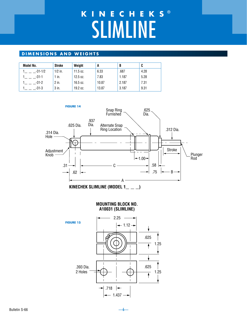# SLIMLINE **KINECHEKS** ®

#### **DIMENSIONS AND WEIGHTS**

| Model No.   | Stroke    | Weight     | A     | B     | C    |
|-------------|-----------|------------|-------|-------|------|
| $-31 - 1/2$ | $1/2$ in. | $11.5$ oz. | 6.33  | .687  | 4.28 |
| $-31-1$     | $1$ in.   | $12.5$ oz. | 7.83  | 1.187 | 5.28 |
| $-31-2$     | 2 in.     | 16.5 oz.   | 10.87 | 2.187 | 7.31 |
| $-31-3$     | 3 in.     | 19.2 oz.   | 13.87 | 3.187 | 9.31 |



—6—

 $.718$   $\rightarrow$  $-1.437 -$ 

2 Holes

1.25

 $\ddagger$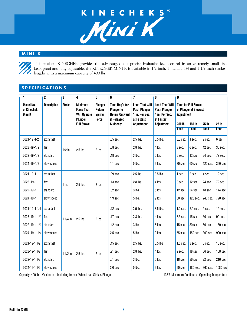# **KINECHEKS** ®

#### **MINI K**

This smallest KINECHEK provides the advantages of a precise hydraulic feed control in an extremely small size. Leak proof and fully adjustable, the KINECHEK MINI K is available in 1/2 inch, 1 inch,, 1 1/4 and 1 1/2 inch stroke lengths with a maximum capacity of 400 lbs.

#### **SPECIFICATIONS**

| 1                                                | 2                  | 3             | 4                                                                                           | 5                                           | 6                                                                                              | $\overline{7}$                                                                             | 8                                                                                          | 9                            |                                                                 |             |             |
|--------------------------------------------------|--------------------|---------------|---------------------------------------------------------------------------------------------|---------------------------------------------|------------------------------------------------------------------------------------------------|--------------------------------------------------------------------------------------------|--------------------------------------------------------------------------------------------|------------------------------|-----------------------------------------------------------------|-------------|-------------|
| <b>Model No.</b><br>of Kinechek<br><b>Mini K</b> | <b>Description</b> | <b>Stroke</b> | <b>Minimum</b><br><b>Force That</b><br><b>Will Operate</b><br>Plunger<br><b>Full Stroke</b> | Plunger<br>Return<br><b>Spring</b><br>Force | Time Req'd for<br><b>Plunger to</b><br><b>Return Outward</b><br>if Released<br><b>Suddenly</b> | <b>Load That Will</b><br><b>Push Plunger</b><br>1 in. Per Sec.<br>at Fastest<br>Adjustment | <b>Load That Will</b><br><b>Push Plunger</b><br>4 in. Per Sec.<br>at Fastest<br>Adjustment | <b>Adjustment</b><br>300 lb. | <b>Time for Full Stroke</b><br>of Plunger at Slowest<br>150 lb. | 75 lb.      | 25 lb.      |
|                                                  |                    |               |                                                                                             |                                             |                                                                                                |                                                                                            |                                                                                            | <b>Load</b>                  | <b>Load</b>                                                     | <b>Load</b> | <b>Load</b> |
| $3021 - 19 - 1/2$                                | extra fast         |               |                                                                                             |                                             | .05 sec.                                                                                       | $2.5$ lbs.                                                                                 | 3.5 lbs.                                                                                   | $0.5$ sec.                   | 1 sec.                                                          | 2 sec.      | 6 sec.      |
| $3023 - 19 - 1/2$                                | fast               | $1/2$ in.     | 2.5 lbs.                                                                                    | 2 lbs.                                      | .08 sec.                                                                                       | 2.8 lbs.                                                                                   | 4 lbs.                                                                                     | 3 sec.                       | 6 sec.                                                          | 12 sec.     | 36 sec.     |
| $3022 - 19 - 1/2$                                | standard           |               |                                                                                             |                                             | .18 sec.                                                                                       | 3 lbs.                                                                                     | 5 lbs.                                                                                     | 6 sec.                       | 12 sec.                                                         | 24 sec.     | 72 sec.     |
| $3024 - 19 - 1/2$                                | slow speed         |               |                                                                                             |                                             | 1.1 sec.                                                                                       | 5 lbs.                                                                                     | 9 lbs.                                                                                     | 30 sec.                      | 60 sec.                                                         | 120 sec.    | 360 sec.    |
| 3021-19-1                                        | extra fast         |               |                                                                                             |                                             | .09 sec.                                                                                       | 2.5 lbs.                                                                                   | $3.5$ lbs.                                                                                 | 1 sec.                       | 2 sec.                                                          | 4 sec.      | 12 sec.     |
| $3023 - 19 - 1$                                  | fast               | $1$ in.       | 2.5 lbs.                                                                                    | 2 lbs.                                      | .13 sec.                                                                                       | 2.8 lbs.                                                                                   | 4 lbs.                                                                                     | 6 sec.                       | 12 sec.                                                         | 24 sec.     | 72 sec.     |
| 3022-19-1                                        | standard           |               |                                                                                             |                                             | .32 sec.                                                                                       | 3 lbs.                                                                                     | 5 lbs.                                                                                     | 12 sec.                      | 24 sec.                                                         | 48 sec.     | 144 sec.    |
| $3024 - 19 - 1$                                  | slow speed         |               |                                                                                             |                                             | 1.9 sec.                                                                                       | 5 lbs.                                                                                     | 9 lbs.                                                                                     | 60 sec.                      | 120 sec.                                                        | 240 sec.    | 720 sec.    |
| 3021-19-1 1/4                                    | extra fast         |               |                                                                                             |                                             | .12 sec.                                                                                       | 2.5 lbs.                                                                                   | 3.5 lbs.                                                                                   | 1.2 sec.                     | 2.5 sec.                                                        | 5 sec.      | 15 sec.     |
| 3023-19-1 1/4                                    | fast               | 1 1/4 in.     | 2.5 lbs.                                                                                    | 2 lbs.                                      | $.17$ sec.                                                                                     | 2.8 lbs.                                                                                   | 4 lbs.                                                                                     | 7.5 sec.                     | 15 sec.                                                         | 30 sec.     | 90 sec.     |
| 3022-19-1 1/4                                    | standard           |               |                                                                                             |                                             | .42 sec.                                                                                       | 3 lbs.                                                                                     | $5$ lbs.                                                                                   | 15 sec.                      | 30 sec.                                                         | 60 sec.     | 180 sec.    |
| 3024-19-1 1/4                                    | slow speed         |               |                                                                                             |                                             | 2.5 sec.                                                                                       | 5 lbs.                                                                                     | 9 lbs.                                                                                     | 75 sec.                      | 150 sec.                                                        | 300 sec.    | 900 sec.    |
| 3021-19-1 1/2                                    | extra fast         |               |                                                                                             |                                             | .15 sec.                                                                                       | 2.5 lbs.                                                                                   | 3.5 lbs                                                                                    | 1.5 sec.                     | 3 sec.                                                          | 6 sec.      | 18 sec.     |
| 3023-19-1 1/2                                    | fast               | 1 1/2 in.     | 2.5 lbs.                                                                                    | 2 lbs.                                      | .21 sec.                                                                                       | 2.8 lbs.                                                                                   | 4 lbs.                                                                                     | 9 sec.                       | 18 sec.                                                         | 36 sec.     | 108 sec.    |
| 3022-19-1 1/2                                    | standard           |               |                                                                                             |                                             | .51 sec.                                                                                       | 3 lbs.                                                                                     | 5 lbs                                                                                      | 18 sec.                      | 36 sec.                                                         | 72 sec.     | 216 sec.    |
| 3024-19-1 1/2                                    | slow speed         |               |                                                                                             |                                             | 3.0 sec.                                                                                       | 5 lbs.                                                                                     | 9 lbs.                                                                                     | 90 sec.                      | 180 sec.                                                        | 360 sec.    | 1080 sec.   |

Capacity: 400 lbs. Maximum – Including Impact When Load Strikes Plunger 135°F Maximum Continuous Operating Temperature

—7—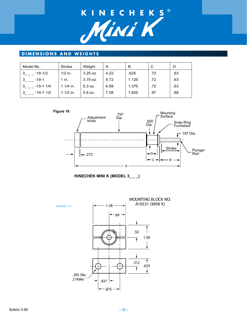

#### **DIMENSIONS AND WEIGHTS**

| Model No.                 | Stroke     | Weight   | A    | в     | C   |     |
|---------------------------|------------|----------|------|-------|-----|-----|
| -19-1/2                   | $1/2$ in.  | 3.25 oz. | 4.22 | .625  | .72 | .63 |
| $-19-1$<br>-3             | 1 in.      | 3.70 oz. | 5.72 | 1.125 | .72 | .63 |
| -19-1 1/4<br>$\mathbf{3}$ | 1 1/4 in.  | 5.3 oz.  | 6.58 | 1.375 | .72 | .63 |
| $-19-11/2$<br>3           | $11/2$ in. | 5.6 oz.  | 7.08 | 1.625 | .97 | .88 |



**KINECHEK MINI K (MODEL 3\_ \_ \_)**



—8—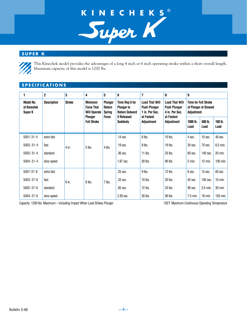

#### **SUPER K**



This Kinechek model provides the advantages of a long 4 inch or 6 inch operating stroke within a short overall length. Maximum capacity of this model is 1200 lbs.

### **SPECIFICATIONS**

| 1                                          | $\mathbf 2$                  | 3     | 4                                                          | 5                                                | 6                                                                           | 7                                                                            | 8                                                                            | 9                                                                  |                   |                   |
|--------------------------------------------|------------------------------|-------|------------------------------------------------------------|--------------------------------------------------|-----------------------------------------------------------------------------|------------------------------------------------------------------------------|------------------------------------------------------------------------------|--------------------------------------------------------------------|-------------------|-------------------|
| <b>Model No.</b><br>of Kinechek<br>Super K | <b>Description</b><br>Stroke |       | <b>Minimum</b><br><b>Force That</b><br><b>Will Operate</b> | <b>Plunger</b><br><b>Return</b><br><b>Spring</b> | Time Req'd for<br><b>Plunger to</b><br><b>Return Outward</b><br>if Released | <b>Load That Will</b><br><b>Push Plunger</b><br>1 in. Per Sec.<br>at Fastest | <b>Load That Will</b><br><b>Push Plunger</b><br>4 in. Per Sec.<br>at Fastest | <b>Time for Full Stroke</b><br>of Plunger at Slowest<br>Adjustment |                   |                   |
|                                            |                              |       | <b>Plunger</b><br><b>Full Stroke</b>                       | Force                                            | Suddenly                                                                    | Adjustment                                                                   | Adjustment                                                                   | $1000$ lb.<br>Load                                                 | 500 lb.<br>Load   | $100$ lb.<br>Load |
| $5001 - 31 - 4$                            | extra fast                   |       |                                                            |                                                  | $.14$ sec.                                                                  | 6 lbs.                                                                       | 10 lbs.                                                                      | 4 sec.                                                             | $10$ sec.         | 40 sec.           |
| $5003 - 31 - 4$                            | fast                         | 4 in. | $5$ lbs.                                                   | $4$ lbs.                                         | .19 sec.                                                                    | 9 lbs.                                                                       | 19 lbs.                                                                      | 30 sec.                                                            | 70 sec.           | $6.5$ min.        |
| $5002 - 31 - 4$                            | standard                     |       |                                                            |                                                  | .36 sec.                                                                    | $11$ lbs.                                                                    | 33 lbs.                                                                      | 60 sec.                                                            | 140 sec.          | 20 min.           |
| $5004 - 31 - 4$                            | slow speed                   |       |                                                            |                                                  | 1.87 sec.                                                                   | 30 lbs.                                                                      | 90 lbs.                                                                      | $5 \text{ min}$ .                                                  | $12 \text{ min.}$ | 100 min.          |
| $5001 - 37 - 6$                            | extra fast                   |       |                                                            |                                                  | .25 sec.                                                                    | 9 lbs.                                                                       | 12 lbs.                                                                      | 6 sec.                                                             | 15 sec.           | 60 sec.           |
| $5003 - 37 - 6$                            | fast                         | 6 in. | 8 lbs.                                                     | 7 lbs.                                           | .33 sec.                                                                    | $10$ lbs.                                                                    | 20 lbs.                                                                      | 45 sec.                                                            | 105 sec.          | $10$ min.         |
| $5002 - 37 - 6$                            | standard                     |       |                                                            |                                                  | .65 sec.                                                                    | $12$ lbs.                                                                    | 33 lbs.                                                                      | 90 sec.                                                            | 3.5 min.          | 30 min.           |
| $5004 - 37 - 6$                            | slow speed                   |       |                                                            |                                                  | 2.39 sec.                                                                   | 30 lbs.                                                                      | 90 lbs.                                                                      | 7.5 min.                                                           | 18 min.           | 150 min.          |

—9—

Capacity: 1200 lbs. Maximum – Including Impact When Load Strikes Plunger 135°F Maximum Continuous Operating Temperature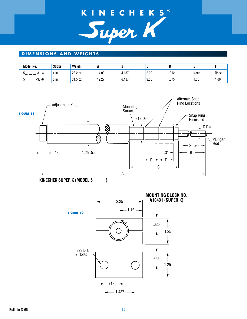# KINECHEKS®



#### **DIMENSIONS AND WEIGHTS**

| Model No.             | <b>Stroke</b>   | Weight            | . .   | ш          |      |      |      |      |
|-----------------------|-----------------|-------------------|-------|------------|------|------|------|------|
| $^{\circ}$<br>$1 - 4$ | ۱n.             | 23.2 oz.          | 14.03 | 4.187<br>4 | 2.00 | .312 | None | None |
| <b>07</b><br>$-37-F$  | $\sim$<br>6 in. | 315<br>$31.5$ 0Z. | 19.27 | 6.187      | 3.50 | .375 | 1.00 | 00.1 |



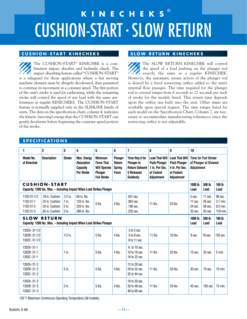# CUSHION-START • SLOW RETURN **KINECHEKS** ®

#### **CUSHION-START KINECHEKS**

The CUSHION-START® KINECHEK is a combination impact absorber and hydraulic check. The impact absorbing feature called "CUSHION-START" is a safeguard for those applications where a fast moving machine element must be abruptly decelerated, then permitted to continue its movement at a constant speed. The first portion of the unit's stroke is used for cushioning, while the remaining stroke will control the speed of any load with the same uniformness as regular KINECHEKS. The CUSHION-START feature is normally supplied only in the SLIMLINE family of units. The data on the specification chart, column 4, indicates the kinetic (moving) energy that the CUSHION-START can gently decelerate before beginning the constant speed portion of the stroke.

#### **SLOW RETURN KINECHEKS**

The SLOW RETURN KINECHEK will control the speed of a load pushing on the plunger rod exactly the same as a regular KINECHEK. However, the automatic return action of the plunger rod is slowed by a fixed restricting orifice added to the unit's internal flow passages. The time required for the plunger rod to extend ranges from 6 seconds to 22 seconds per inch of stroke for the models listed. This return time depends upon the orifice size built into the unit. Other times are available upon special request. The time ranges listed for each model on the Specification Chart, Column 7, are necessary to accommodate manufacturing tolerances, since the restricting orifice is not adjustable.

#### **SPECIFICATIONS**

| 1                                                  | $\overline{2}$                                                                                | 3                                        | 4                                                                               | 5                                                                                                  | 6                                                         | $\overline{7}$                                                                                 | 8                                                                                          | 9                                                                                          | 10                                      |                                                      |                                              |
|----------------------------------------------------|-----------------------------------------------------------------------------------------------|------------------------------------------|---------------------------------------------------------------------------------|----------------------------------------------------------------------------------------------------|-----------------------------------------------------------|------------------------------------------------------------------------------------------------|--------------------------------------------------------------------------------------------|--------------------------------------------------------------------------------------------|-----------------------------------------|------------------------------------------------------|----------------------------------------------|
| <b>Model No.</b><br>of Kinechek                    | <b>Description</b>                                                                            | <b>Stroke</b>                            | <b>Max. Energy</b><br><b>Absorption</b><br><b>Capacity</b><br><b>Per Stroke</b> | <b>Minimum</b><br><b>Force That</b><br><b>Will Operate</b><br><b>Plunger</b><br><b>Full Stroke</b> | Plunger<br><b>Return</b><br><b>Spring</b><br><b>Force</b> | Time Req'd for<br><b>Plunger to</b><br><b>Return Outward</b><br>if Released<br><b>Suddenly</b> | <b>Load That Will</b><br><b>Push Plunger</b><br>1 in. Per Sec.<br>at Fastest<br>Adjustment | <b>Load That Will</b><br><b>Push Plunger</b><br>4 in. Per Sec.<br>at Fastest<br>Adjustment | Adjustment                              | <b>Time for Full Stroke</b><br>of Plunger at Slowest |                                              |
|                                                    | <b>CUSHION-START</b><br>Capacity: 1200 lbs. Max. - Including Impact When Load Strikes Plunger |                                          |                                                                                 |                                                                                                    |                                                           |                                                                                                |                                                                                            |                                                                                            | 1000 lb.<br>Load                        | 500 lb.<br>Load                                      | 100 lb.<br>Load                              |
| 1102-31-1/2<br>1102-31-1<br>1102-31-2<br>1102-31-3 | .18 in. Cushion<br>.25 in. Cushion<br>.34 in. Cushion<br>.62 in. Cushion                      | $1/2$ in.<br>$1$ in.<br>$2$ in.<br>3 in. | $60$ in. lbs.<br>120 in. lbs.<br>220 in. lbs.<br>260 in. lbs.                   | 5 lbs.                                                                                             | 4 lbs.                                                    | .031 sec.<br>$.063$ sec.<br>.106 sec.<br>.235 sec.                                             | $11$ lbs.                                                                                  | 33 lbs.                                                                                    | 5 sec.<br>11 sec.<br>24 sec.<br>35 sec. | 11 sec.<br>26 sec.<br>58 sec.<br>83 sec.             | 96 sec.<br>3.7 min.<br>8.3 min.<br>11.8 min. |
| <b>SLOW</b>                                        | <b>RETURN</b><br>Capacity: 1200 lbs. Max. - Including Impact When Load Strikes Plunger        |                                          |                                                                                 |                                                                                                    |                                                           |                                                                                                |                                                                                            |                                                                                            | 1000 lb.<br>Load                        | 500 lb.<br>Load                                      | 100 lb.<br>Load                              |
| 1302A-31-1/2<br>1302B-31-1/2<br>1302C-31-1/2       |                                                                                               | $1/2$ in.                                |                                                                                 | 5 lbs.                                                                                             | 4 lbs.                                                    | 3 to 5 sec.<br>5 to 8 sec.<br>8 to 11 sec.                                                     | $11$ lbs.                                                                                  | 33 lbs.                                                                                    | 8 sec                                   | 18 sec                                               | 150 sec.                                     |
| 1302A-31-1<br>1302B-31-1<br>1302C-31-1             |                                                                                               | $1$ in.                                  |                                                                                 | $5$ lbs.                                                                                           | 4 lbs.                                                    | 6 to 10 sec.<br>10 to 16 sec.<br>16 to 22 sec.                                                 | $11$ lbs.                                                                                  | 33 lbs.                                                                                    | $15$ sec.                               | 35 sec.                                              | $5$ min.                                     |
| 1302A-31-2<br>1302B-31-2<br>1302C-31-2             |                                                                                               | $2$ in.                                  |                                                                                 | $5$ lbs.                                                                                           | 4 lbs.                                                    | 12 to 20 sec.<br>20 to 32 sec.<br>32 to 44 sec.                                                | $11$ lbs.                                                                                  | 33 lbs.                                                                                    | 30 sec.                                 | 70 sec.                                              | $10$ min.                                    |
| 1302A-31-3<br>1302B-31-3<br>1302C-31-3             |                                                                                               | 3 in.                                    |                                                                                 | $5$ lbs.                                                                                           | 4 lbs.                                                    | 18 to 30 sec.<br>30 to 48 sec.<br>48 to 66 sec.                                                | $11$ lbs.                                                                                  | 33 lbs.                                                                                    | 45 sec.                                 | 105 sec.                                             | $15$ min.                                    |

135° F Maximum Continuous Operating Temperature (All models) ˚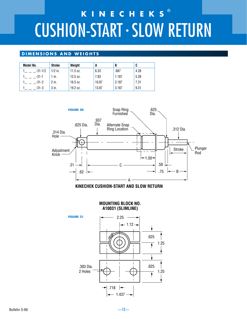# CUSHION-START • SLOW RETURN **KINECHEKS** ®

#### **DIMENSIONS AND WEIGHTS**

| Model No. | Stroke    | Weight     | A     | B     | C    |
|-----------|-----------|------------|-------|-------|------|
| -31-1/2   | $1/2$ in. | $11.5$ oz. | 6.33  | .687  | 4.28 |
| $-31-1$   | 1 in.     | $12.5$ oz. | 7.83  | 1.187 | 5.28 |
| $-31-2$   | 2 in.     | 16.5 oz.   | 10.87 | 2.187 | 7.31 |
| $-31-3$   | $3$ in.   | 19.2 oz.   | 13.87 | 3.187 | 9.31 |





#### **MOUNTING BLOCK NO. A10031 (SLIMLINE)**

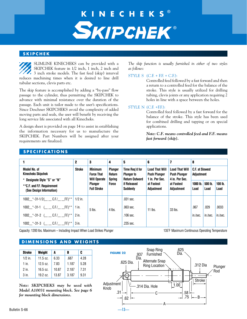## ® **KINECHEKS** ®

#### **SKIPCHEK**

SLIMLINE KINECHEKS can be provided with a SKIPCHEK feature in 1/2 inch, 1 inch, 2 inch and 3 inch stroke models. The fast feed (skip) interval reduces machining times when it is desired to line drill tubular sections, clevis parts etc.

The skip feature is accomplished by adding a "by-pass" flow passage to the cylinder, thus permitting the SKIPCHEK to advance with minimal resistance over the duration of the passage. Each unit is tailor made to the user's specifications. Since Deschner SKIPCHEKS avoid the complexity of added moving parts and seals, the user will benefit by receiving the long service life associated with all Kinecheks.

A design sheet is provided on page 14 to assist in establishing the information necessary for us to manufacture the SKIPCHEK. Part Numbers will be assigned after your requirements are finalized.

**SPECIFICATIONS** 

*The skip function is usually furnished in either of two styles as follows:*

#### STYLE S  $(C.E. + EF. + C.E).$

Controlled feed followed by a fast forward and then a return to a controlled feed for the balance of the stroke. This style is usually utilized for drilling tubing, clevis joints or any application requiring 2 holes in line with a space between the holes.

#### STYLE  $N$  (C.F. +F.F.):

Controlled feed followed by a fast forward for the balance of the stroke. This style has been used for combined drilling and tapping or on special applications.

*Note: C.F. means controlled feed and F.F. means fast forward (skip).*

|                                                                              | $\mathbf 2$   | 3                                                          | 4                                                | 5                                                            | 6                                                              | 7                                                              | 8                             |                 |                   |
|------------------------------------------------------------------------------|---------------|------------------------------------------------------------|--------------------------------------------------|--------------------------------------------------------------|----------------------------------------------------------------|----------------------------------------------------------------|-------------------------------|-----------------|-------------------|
| Model No. of<br><b>Kinecheks Skipchek</b><br>* Designate Style "S" or "N"    | <b>Stroke</b> | <b>Minimum</b><br><b>Force That</b><br><b>Will Operate</b> | <b>Plunger</b><br><b>Return</b><br><b>Spring</b> | Time Reg'd for<br><b>Plunger to</b><br><b>Return Outward</b> | <b>Load That Will</b><br><b>Push Plunger</b><br>1 in. Per Sec. | <b>Load That Will</b><br><b>Push Plunger</b><br>4 in. Per Sec. | C.F. at Slowest<br>Adjustment |                 |                   |
| **C.F. and F.F. Requirement<br>(See Design Information)                      |               | <b>Plunger</b><br><b>Full Stroke</b>                       | <b>Force</b>                                     | if Released<br>Suddenly                                      | at Fastest<br>Adjustment                                       | at Fastest<br>Adjustment                                       | $1000$ lb.<br>Load            | 500 lb.<br>Load | $100$ lb.<br>Load |
| $1002$ <sup>*</sup> -31-1/2( <sup>11</sup> /2 C.F./ <sup>11</sup> /2 F.F.)** | $1/2$ in.     |                                                            |                                                  | .031 sec.                                                    |                                                                |                                                                |                               |                 |                   |
| 1002 $*$ -31-1 ( C.F./ F.F.)**   1 in.                                       |               | $5$ lbs.                                                   | 4 lbs.                                           | $.063$ sec.                                                  | $11$ lbs.                                                      | 33 lbs.                                                        | .067                          | .029            | .0033             |
| $1002$ *-31-2 ( C.F./ F.F.)**                                                | 2 in.         |                                                            |                                                  | $.106$ sec.                                                  |                                                                |                                                                | in./sec.                      | in./sec.        | in./sec.          |
| $1002$ <sup>*</sup> -31-3 (_ _ C.F./_ _ F.F.)**                              | 3 in.         |                                                            |                                                  | .235 sec.                                                    |                                                                |                                                                |                               |                 |                   |

Capacity: 1200 lbs. Maximum – Including Impact When Load Strikes Plunger 135°F Maximum Continuous Operating Temperature

#### **DIMENSIONS AND WEIGHTS**

| <b>Stroke</b> | Weight     | A     | B     | C    |
|---------------|------------|-------|-------|------|
| $1/2$ in.     | $11.5$ oz. | 6.33  | .687  | 4.28 |
| $1$ in.       | 12.5 oz.   | 7.83  | 1.187 | 5.28 |
| $2$ in.       | 16.5 oz.   | 10.87 | 2.187 | 7.31 |
| 3 in.         | 19.2 oz.   | 13.87 | 3.187 | 9.31 |

*Note: SKIPCHEKS may be used with Model A10031 mounting block. See page 6 for mounting block dimensions.*

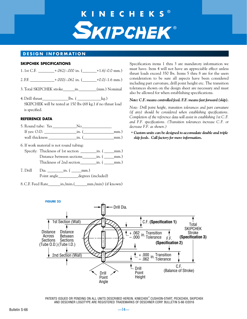## **SKIPCHEK® KINECHEKS** ®

#### **DESIGN INFORMATION**

#### **SKIPCHEK SPECIFICATIONS**

| 1.1st C.E. | -+.062/-.000 in. ( | $+1.6/-0.0$ mm.) |
|------------|--------------------|------------------|
| 2. F.E.    | .+.000/-.062 in. ( | $+0.0/-1.6$ mm.) |

- 3. Total SKIPCHEK stroke\_\_\_\_\_\_in.\_\_\_\_\_\_\_\_\_(mm.) Nominal
- 4. Drill thrust  $\qquad \qquad$  lbs. ( $\qquad \qquad$  kg.) SKIPCHEK will be tested at 150 lbs (68 kg.) if no thrust load is specified.

#### **REFERENCE DATA**

- 5. Round tube: Yes \_\_\_\_\_\_\_\_\_\_\_\_No\_\_\_\_\_\_\_\_\_\_\_\_\_\_\_ If yes: O.D.  $\qquad \qquad \text{in.}$  ( $\qquad \qquad \text{mm.}$ ) wall thickness  $\qquad \qquad \text{in.}$  ( $\qquad \qquad \text{mm.}$ )
- 6. If work material is not round tubing:
- Specify: Thickness of 1st section \_\_\_\_\_\_\_\_\_in. ( \_\_\_\_\_mm.) Distance between sections\_\_\_\_\_\_\_in. ( \_\_\_\_\_mm.) Thickness of 2nd section\_\_\_\_\_\_\_\_in. ( \_\_\_\_\_mm.)
- 7. Drill Dia. \_\_\_\_\_\_\_\_in. ( \_\_\_\_\_mm.) Point angle degrees (included)
- 8. C.F. Feed Rate\_\_\_\_\_\_in./min.(\_\_\_\_\_\_mm./min) (if known)

Specification items 1 thru 3 are mandatory information we must have. Item 4 will not have an appreciable effect unless thrust loads exceed 350 lbs. Items 5 thru 8 are for the users consideration to be sure all aspects have been considered including part curvature, drill point height etc. The transition tolerances shown on the design sheet are necessary and must also be allowed for when establishing specifications.

#### *Note: C.F. means controlled feed. F.F. means fast forward (skip).*

*Note: Drill point height, transition tolerances and part curvature (if any) should be considered when establishing specifications. Completion of the reference data will assist in establishing 1st C.F. and F.F. specifications. (Transition tolerances increase C.F. or decrease F.F. as shown.)*

*Custom units can be designed to accomodate double and triple* \* *skip feeds. Call factory for more information.*



PATENTS ISSUED OR PENDING ON ALL UNITS DESCRIBED HEREIN. KINECHEK® , CUSHION-START, PECKCHEK, SKIPCHEK AND DESCHNER LOGOTYPE ARE REGISTERED TRADEMARKS OF DESCHNER CORP. BULLETIN S-66 ©2016